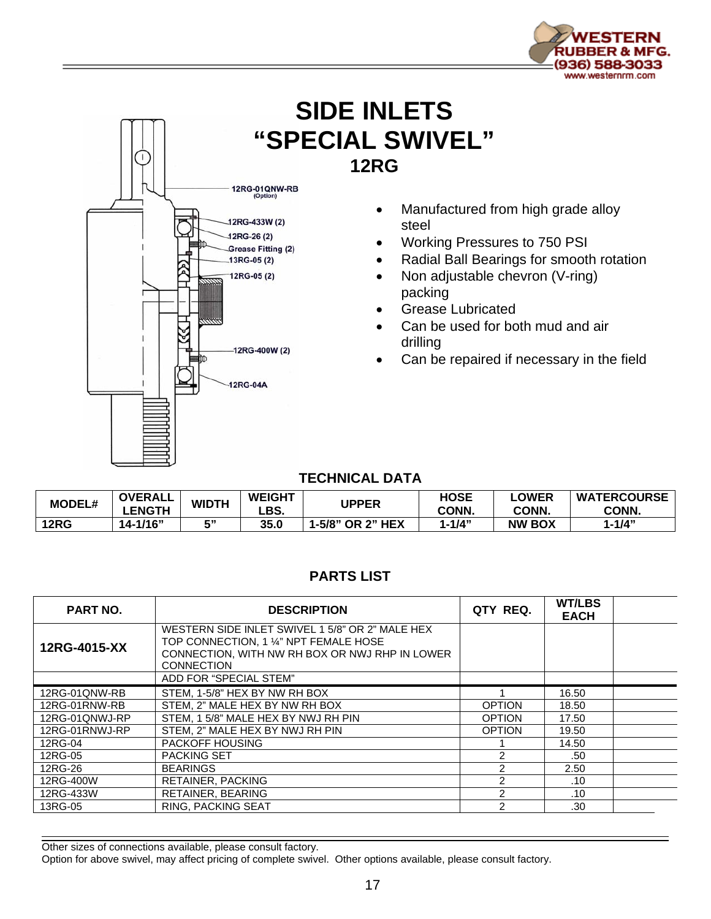

## **SIDE INLETS "SPECIAL SWIVEL" 12RG**



- Manufactured from high grade alloy steel
- Working Pressures to 750 PSI
- Radial Ball Bearings for smooth rotation
- Non adjustable chevron (V-ring) packing
- Grease Lubricated
- Can be used for both mud and air drilling
- Can be repaired if necessary in the field

## **TECHNICAL DATA**

| <b>MODEL#</b> | <b>OVERALL</b><br><b>LENGTH</b> | <b>WIDTH</b> | <b>WEIGHT</b><br>LBS. | <b>UPPER</b>            | HOSE<br>CONN. | _OWER<br>CONN. | <b>WATERCOURSE</b><br>CONN. |
|---------------|---------------------------------|--------------|-----------------------|-------------------------|---------------|----------------|-----------------------------|
| <b>12RG</b>   | $14 - 1/16"$                    | г"<br>w      | 35.0                  | <b>I-5/8" OR 2" HEX</b> | $-1/4"$       | <b>NW BOX</b>  | 1-1/4"                      |

## **PARTS LIST**

| <b>PART NO.</b> | <b>DESCRIPTION</b>                                                                                                                                               | QTY REQ.       | <b>WT/LBS</b><br><b>EACH</b> |  |
|-----------------|------------------------------------------------------------------------------------------------------------------------------------------------------------------|----------------|------------------------------|--|
| 12RG-4015-XX    | WESTERN SIDE INLET SWIVEL 1 5/8" OR 2" MALE HEX<br>TOP CONNECTION, 1 1/4" NPT FEMALE HOSE<br>CONNECTION, WITH NW RH BOX OR NWJ RHP IN LOWER<br><b>CONNECTION</b> |                |                              |  |
|                 | ADD FOR "SPECIAL STEM"                                                                                                                                           |                |                              |  |
| 12RG-01QNW-RB   | STEM, 1-5/8" HEX BY NW RH BOX                                                                                                                                    |                | 16.50                        |  |
| 12RG-01RNW-RB   | STEM. 2" MALE HEX BY NW RH BOX                                                                                                                                   | <b>OPTION</b>  | 18.50                        |  |
| 12RG-01QNWJ-RP  | STEM, 1 5/8" MALE HEX BY NWJ RH PIN                                                                                                                              | <b>OPTION</b>  | 17.50                        |  |
| 12RG-01RNWJ-RP  | STEM, 2" MALE HEX BY NWJ RH PIN                                                                                                                                  | <b>OPTION</b>  | 19.50                        |  |
| 12RG-04         | <b>PACKOFF HOUSING</b>                                                                                                                                           |                | 14.50                        |  |
| 12RG-05         | <b>PACKING SET</b>                                                                                                                                               | 2              | .50                          |  |
| 12RG-26         | <b>BEARINGS</b>                                                                                                                                                  | $\overline{2}$ | 2.50                         |  |
| 12RG-400W       | <b>RETAINER, PACKING</b>                                                                                                                                         | $\overline{2}$ | .10                          |  |
| 12RG-433W       | <b>RETAINER, BEARING</b>                                                                                                                                         | $\overline{2}$ | .10                          |  |
| 13RG-05         | RING, PACKING SEAT                                                                                                                                               | $\mathcal{P}$  | .30                          |  |

Other sizes of connections available, please consult factory.

Option for above swivel, may affect pricing of complete swivel. Other options available, please consult factory.